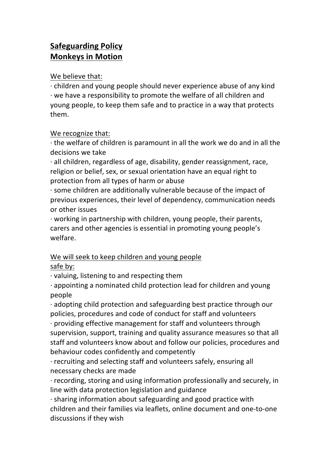## **Safeguarding Policy Monkeys in Motion**

We believe that:

 $\cdot$  children and young people should never experience abuse of any kind  $\cdot$  we have a responsibility to promote the welfare of all children and young people, to keep them safe and to practice in a way that protects them.

## We recognize that:

 $\cdot$  the welfare of children is paramount in all the work we do and in all the decisions we take

 $\cdot$  all children, regardless of age, disability, gender reassignment, race, religion or belief, sex, or sexual orientation have an equal right to protection from all types of harm or abuse

 $\cdot$  some children are additionally vulnerable because of the impact of previous experiences, their level of dependency, communication needs or other issues

 $\cdot$  working in partnership with children, young people, their parents, carers and other agencies is essential in promoting young people's welfare.

## We will seek to keep children and young people safe by:

 $\cdot$  valuing, listening to and respecting them

 $\cdot$  appointing a nominated child protection lead for children and young people

 $\cdot$  adopting child protection and safeguarding best practice through our policies, procedures and code of conduct for staff and volunteers

 $\cdot$  providing effective management for staff and volunteers through supervision, support, training and quality assurance measures so that all staff and volunteers know about and follow our policies, procedures and behaviour codes confidently and competently

 $\cdot$  recruiting and selecting staff and volunteers safely, ensuring all necessary checks are made

 $\cdot$  recording, storing and using information professionally and securely, in line with data protection legislation and guidance

 $\cdot$  sharing information about safeguarding and good practice with children and their families via leaflets, online document and one-to-one discussions if they wish